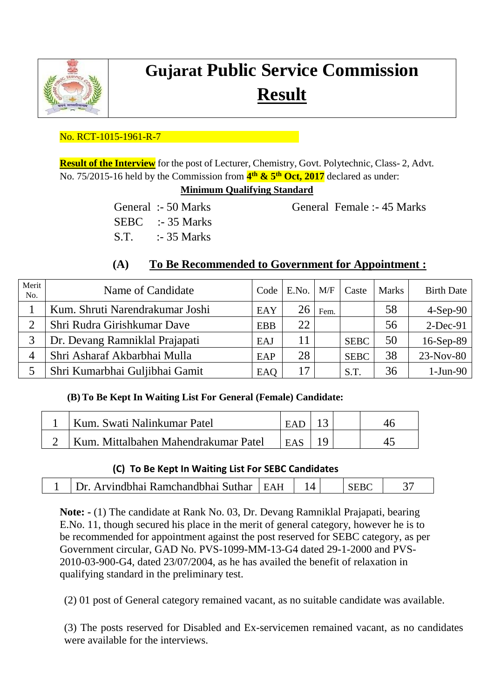

# **Gujarat Public Service Commission Result**

## No. RCT-1015-1961-R-7

**Result of the Interview** for the post of Lecturer, Chemistry, Govt. Polytechnic, Class- 2, Advt. No. 75/2015-16 held by the Commission from **4 th & 5 th Oct, 2017** declared as under:

### **Minimum Qualifying Standard**

SEBC :- 35 Marks S.T. :- 35 Marks

General :- 50 Marks General Female :- 45 Marks

# **(A) To Be Recommended to Government for Appointment :**

| Merit<br>No. | Name of Candidate               | Code       | E.No. | M/F  | Caste       | <b>Marks</b> | <b>Birth Date</b> |
|--------------|---------------------------------|------------|-------|------|-------------|--------------|-------------------|
|              | Kum. Shruti Narendrakumar Joshi | EAY        | 26    | Fem. |             | 58           | $4-Sep-90$        |
| ⌒            | Shri Rudra Girishkumar Dave     | <b>EBB</b> | 22    |      |             | 56           | $2-Dec-91$        |
|              | Dr. Devang Ramniklal Prajapati  | EAJ        |       |      | <b>SEBC</b> | 50           | 16-Sep-89         |
|              | Shri Asharaf Akbarbhai Mulla    | EAP        | 28    |      | <b>SEBC</b> | 38           | 23-Nov-80         |
|              | Shri Kumarbhai Guljibhai Gamit  | EAQ        | 17    |      | S.T.        | 36           | $1-Jun-90$        |

## **(B) To Be Kept In Waiting List For General (Female) Candidate:**

| <sup>1</sup> Kum. Swati Nalinkumar Patel | FAP        |  |  |
|------------------------------------------|------------|--|--|
| Kum. Mittalbahen Mahendrakumar Patel     | <b>EAS</b> |  |  |

### **(C) To Be Kept In Waiting List For SEBC Candidates**

| H | Ramchandhhai<br>$ -$<br>'hhai<br>. Suthar<br><b>CAR THURS</b> |  |  |  |
|---|---------------------------------------------------------------|--|--|--|
|---|---------------------------------------------------------------|--|--|--|

**Note: -** (1) The candidate at Rank No. 03, Dr. Devang Ramniklal Prajapati, bearing E.No. 11, though secured his place in the merit of general category, however he is to be recommended for appointment against the post reserved for SEBC category, as per Government circular, GAD No. PVS-1099-MM-13-G4 dated 29-1-2000 and PVS-2010-03-900-G4, dated 23/07/2004, as he has availed the benefit of relaxation in qualifying standard in the preliminary test.

(2) 01 post of General category remained vacant, as no suitable candidate was available.

(3) The posts reserved for Disabled and Ex-servicemen remained vacant, as no candidates were available for the interviews.